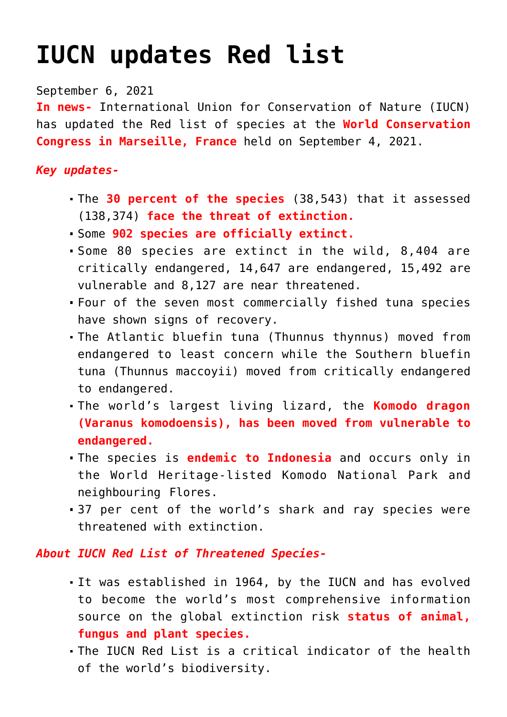## **[IUCN updates Red list](https://journalsofindia.com/iucn-updates-red-list/)**

September 6, 2021

**In news-** International Union for Conservation of Nature (IUCN) has updated the Red list of species at the **World Conservation Congress in Marseille, France** held on September 4, 2021.

## *Key updates-*

- The **30 percent of the species** (38,543) that it assessed (138,374) **face the threat of extinction.**
- Some **902 species are officially extinct.**
- Some 80 species are extinct in the wild, 8,404 are critically endangered, 14,647 are endangered, 15,492 are vulnerable and 8,127 are near threatened.
- Four of the seven most commercially fished tuna species have shown signs of recovery.
- The Atlantic bluefin tuna (Thunnus thynnus) moved from endangered to least concern while the Southern bluefin tuna (Thunnus maccoyii) moved from critically endangered to endangered.
- The world's largest living lizard, the **Komodo dragon (Varanus komodoensis), has been moved from vulnerable to endangered.**
- The species is **endemic to Indonesia** and occurs only in the World Heritage-listed Komodo National Park and neighbouring Flores.
- 37 per cent of the world's shark and ray species were threatened with extinction.

## *About IUCN Red List of Threatened Species-*

- It was established in 1964, by the IUCN and has evolved to become the world's most comprehensive information source on the global extinction risk **status of animal, fungus and plant species.**
- The IUCN Red List is a critical indicator of the health of the world's biodiversity.